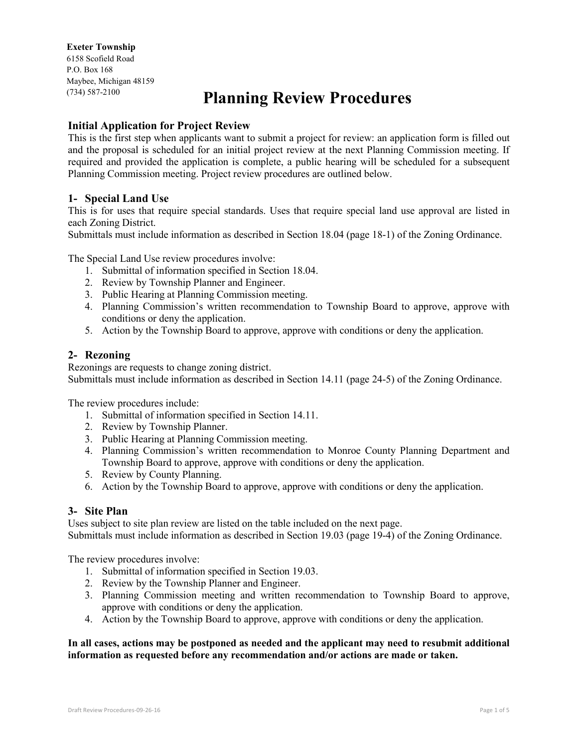#### **Exeter Township**

6158 Scofield Road P.O. Box 168 Maybee, Michigan 48159 (734) 587-2100

# **Planning Review Procedures**

## **Initial Application for Project Review**

This is the first step when applicants want to submit a project for review: an application form is filled out and the proposal is scheduled for an initial project review at the next Planning Commission meeting. If required and provided the application is complete, a public hearing will be scheduled for a subsequent Planning Commission meeting. Project review procedures are outlined below.

## **1- Special Land Use**

This is for uses that require special standards. Uses that require special land use approval are listed in each Zoning District.

Submittals must include information as described in Section 18.04 (page 18-1) of the Zoning Ordinance.

The Special Land Use review procedures involve:

- 1. Submittal of information specified in Section 18.04.
- 2. Review by Township Planner and Engineer.
- 3. Public Hearing at Planning Commission meeting.
- 4. Planning Commission's written recommendation to Township Board to approve, approve with conditions or deny the application.
- 5. Action by the Township Board to approve, approve with conditions or deny the application.

### **2- Rezoning**

Rezonings are requests to change zoning district. Submittals must include information as described in Section 14.11 (page 24-5) of the Zoning Ordinance.

The review procedures include:

- 1. Submittal of information specified in Section 14.11.
- 2. Review by Township Planner.
- 3. Public Hearing at Planning Commission meeting.
- 4. Planning Commission's written recommendation to Monroe County Planning Department and Township Board to approve, approve with conditions or deny the application.
- 5. Review by County Planning.
- 6. Action by the Township Board to approve, approve with conditions or deny the application.

### **3- Site Plan**

Uses subject to site plan review are listed on the table included on the next page. Submittals must include information as described in Section 19.03 (page 19-4) of the Zoning Ordinance.

The review procedures involve:

- 1. Submittal of information specified in Section 19.03.
- 2. Review by the Township Planner and Engineer.
- 3. Planning Commission meeting and written recommendation to Township Board to approve, approve with conditions or deny the application.
- 4. Action by the Township Board to approve, approve with conditions or deny the application.

#### **In all cases, actions may be postponed as needed and the applicant may need to resubmit additional information as requested before any recommendation and/or actions are made or taken.**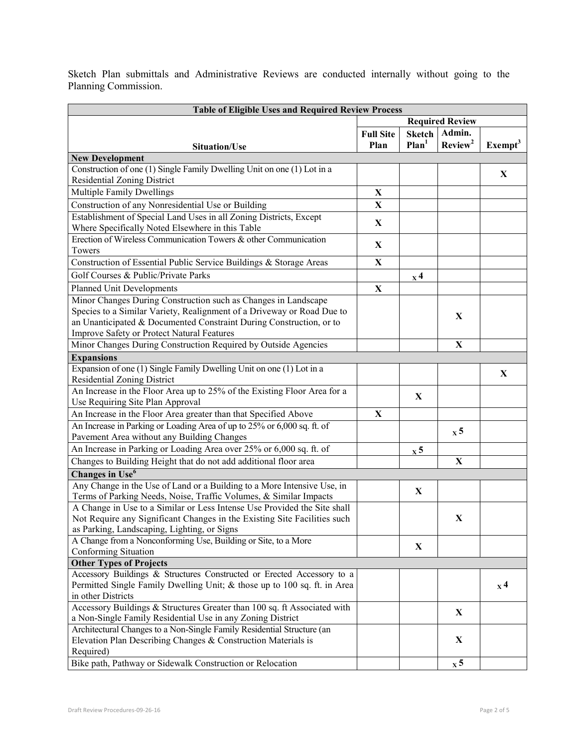Sketch Plan submittals and Administrative Reviews are conducted internally without going to the Planning Commission.

| <b>Table of Eligible Uses and Required Review Process</b>                                                     |                  |                             |                             |                             |  |  |
|---------------------------------------------------------------------------------------------------------------|------------------|-----------------------------|-----------------------------|-----------------------------|--|--|
|                                                                                                               |                  | <b>Required Review</b>      |                             |                             |  |  |
|                                                                                                               | <b>Full Site</b> | <b>Sketch</b>               | Admin.                      |                             |  |  |
| <b>Situation/Use</b>                                                                                          | Plan             | Plan <sup>1</sup>           | Review <sup>2</sup>         | $\textbf{Exempt}^3$         |  |  |
| <b>New Development</b>                                                                                        |                  |                             |                             |                             |  |  |
| Construction of one (1) Single Family Dwelling Unit on one (1) Lot in a                                       |                  |                             |                             | $\mathbf X$                 |  |  |
| Residential Zoning District                                                                                   |                  |                             |                             |                             |  |  |
| Multiple Family Dwellings                                                                                     | $\mathbf X$      |                             |                             |                             |  |  |
| Construction of any Nonresidential Use or Building                                                            | $\mathbf X$      |                             |                             |                             |  |  |
| Establishment of Special Land Uses in all Zoning Districts, Except                                            |                  |                             |                             |                             |  |  |
| Where Specifically Noted Elsewhere in this Table                                                              | $\mathbf X$      |                             |                             |                             |  |  |
| Erection of Wireless Communication Towers & other Communication                                               | X                |                             |                             |                             |  |  |
| Towers                                                                                                        |                  |                             |                             |                             |  |  |
| Construction of Essential Public Service Buildings & Storage Areas                                            | $\mathbf X$      |                             |                             |                             |  |  |
| Golf Courses & Public/Private Parks                                                                           |                  | $\mathbf{x}^4$              |                             |                             |  |  |
| <b>Planned Unit Developments</b>                                                                              | $\mathbf X$      |                             |                             |                             |  |  |
| Minor Changes During Construction such as Changes in Landscape                                                |                  |                             |                             |                             |  |  |
| Species to a Similar Variety, Realignment of a Driveway or Road Due to                                        |                  |                             | X                           |                             |  |  |
| an Unanticipated & Documented Constraint During Construction, or to                                           |                  |                             |                             |                             |  |  |
| Improve Safety or Protect Natural Features                                                                    |                  |                             |                             |                             |  |  |
| Minor Changes During Construction Required by Outside Agencies                                                |                  |                             | $\mathbf X$                 |                             |  |  |
| <b>Expansions</b>                                                                                             |                  |                             |                             |                             |  |  |
| Expansion of one (1) Single Family Dwelling Unit on one (1) Lot in a                                          |                  |                             |                             | X                           |  |  |
| <b>Residential Zoning District</b>                                                                            |                  |                             |                             |                             |  |  |
| An Increase in the Floor Area up to 25% of the Existing Floor Area for a                                      |                  | X                           |                             |                             |  |  |
| Use Requiring Site Plan Approval                                                                              |                  |                             |                             |                             |  |  |
| An Increase in the Floor Area greater than that Specified Above                                               | X                |                             |                             |                             |  |  |
| An Increase in Parking or Loading Area of up to 25% or 6,000 sq. ft. of                                       |                  |                             | $\boldsymbol{\mathrm{x}}$ 5 |                             |  |  |
| Pavement Area without any Building Changes                                                                    |                  |                             |                             |                             |  |  |
| An Increase in Parking or Loading Area over 25% or 6,000 sq. ft. of                                           |                  | $\boldsymbol{\mathrm{x}}$ 5 |                             |                             |  |  |
| Changes to Building Height that do not add additional floor area                                              |                  |                             | $\mathbf X$                 |                             |  |  |
| Changes in Use <sup>6</sup>                                                                                   |                  |                             |                             |                             |  |  |
| Any Change in the Use of Land or a Building to a More Intensive Use, in                                       |                  | X                           |                             |                             |  |  |
| Terms of Parking Needs, Noise, Traffic Volumes, & Similar Impacts                                             |                  |                             |                             |                             |  |  |
| A Change in Use to a Similar or Less Intense Use Provided the Site shall                                      |                  |                             |                             |                             |  |  |
| Not Require any Significant Changes in the Existing Site Facilities such                                      |                  |                             | X                           |                             |  |  |
| as Parking, Landscaping, Lighting, or Signs<br>A Change from a Nonconforming Use, Building or Site, to a More |                  |                             |                             |                             |  |  |
| Conforming Situation                                                                                          |                  | X                           |                             |                             |  |  |
| <b>Other Types of Projects</b>                                                                                |                  |                             |                             |                             |  |  |
| Accessory Buildings & Structures Constructed or Erected Accessory to a                                        |                  |                             |                             |                             |  |  |
| Permitted Single Family Dwelling Unit; & those up to 100 sq. ft. in Area                                      |                  |                             |                             | $\boldsymbol{\mathrm{x}}$ 4 |  |  |
| in other Districts                                                                                            |                  |                             |                             |                             |  |  |
| Accessory Buildings & Structures Greater than 100 sq. ft Associated with                                      |                  |                             |                             |                             |  |  |
| a Non-Single Family Residential Use in any Zoning District                                                    |                  |                             | X                           |                             |  |  |
| Architectural Changes to a Non-Single Family Residential Structure (an                                        |                  |                             |                             |                             |  |  |
| Elevation Plan Describing Changes & Construction Materials is                                                 |                  |                             | X                           |                             |  |  |
| Required)                                                                                                     |                  |                             |                             |                             |  |  |
| Bike path, Pathway or Sidewalk Construction or Relocation                                                     |                  |                             | $\boldsymbol{\mathrm{x}}$ 5 |                             |  |  |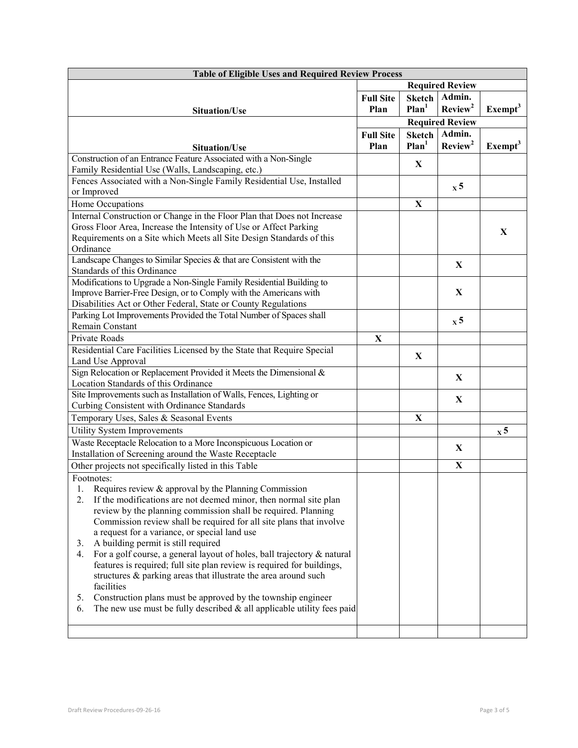| <b>Table of Eligible Uses and Required Review Process</b>                                                                                       |                  |                        |                             |                             |  |
|-------------------------------------------------------------------------------------------------------------------------------------------------|------------------|------------------------|-----------------------------|-----------------------------|--|
|                                                                                                                                                 |                  | <b>Required Review</b> |                             |                             |  |
|                                                                                                                                                 | <b>Full Site</b> | <b>Sketch</b>          | Admin.                      |                             |  |
| <b>Situation/Use</b>                                                                                                                            | Plan             | Plan <sup>1</sup>      | Review <sup>2</sup>         | $\mathbf{Exempt}^3$         |  |
|                                                                                                                                                 |                  | <b>Required Review</b> |                             |                             |  |
|                                                                                                                                                 | <b>Full Site</b> | <b>Sketch</b>          | Admin.                      |                             |  |
| <b>Situation/Use</b>                                                                                                                            | Plan             | Plan <sup>1</sup>      | Review <sup>2</sup>         | Exemp <sup>3</sup>          |  |
| Construction of an Entrance Feature Associated with a Non-Single                                                                                |                  |                        |                             |                             |  |
| Family Residential Use (Walls, Landscaping, etc.)                                                                                               |                  | X                      |                             |                             |  |
| Fences Associated with a Non-Single Family Residential Use, Installed                                                                           |                  |                        |                             |                             |  |
| or Improved                                                                                                                                     |                  |                        | $\boldsymbol{\mathrm{x}}$ 5 |                             |  |
| Home Occupations                                                                                                                                |                  | $\mathbf X$            |                             |                             |  |
| Internal Construction or Change in the Floor Plan that Does not Increase                                                                        |                  |                        |                             |                             |  |
| Gross Floor Area, Increase the Intensity of Use or Affect Parking                                                                               |                  |                        |                             |                             |  |
| Requirements on a Site which Meets all Site Design Standards of this                                                                            |                  |                        |                             | X                           |  |
| Ordinance                                                                                                                                       |                  |                        |                             |                             |  |
| Landscape Changes to Similar Species & that are Consistent with the                                                                             |                  |                        |                             |                             |  |
| Standards of this Ordinance                                                                                                                     |                  |                        | X                           |                             |  |
| Modifications to Upgrade a Non-Single Family Residential Building to                                                                            |                  |                        |                             |                             |  |
| Improve Barrier-Free Design, or to Comply with the Americans with                                                                               |                  |                        | $\mathbf X$                 |                             |  |
| Disabilities Act or Other Federal, State or County Regulations                                                                                  |                  |                        |                             |                             |  |
| Parking Lot Improvements Provided the Total Number of Spaces shall                                                                              |                  |                        |                             |                             |  |
| Remain Constant                                                                                                                                 |                  |                        | $\boldsymbol{\mathrm{x}}$ 5 |                             |  |
| Private Roads                                                                                                                                   | X                |                        |                             |                             |  |
| Residential Care Facilities Licensed by the State that Require Special                                                                          |                  |                        |                             |                             |  |
| Land Use Approval                                                                                                                               |                  | X                      |                             |                             |  |
| Sign Relocation or Replacement Provided it Meets the Dimensional &                                                                              |                  |                        | X                           |                             |  |
| Location Standards of this Ordinance                                                                                                            |                  |                        |                             |                             |  |
| Site Improvements such as Installation of Walls, Fences, Lighting or                                                                            |                  |                        | X                           |                             |  |
| Curbing Consistent with Ordinance Standards                                                                                                     |                  |                        |                             |                             |  |
| Temporary Uses, Sales & Seasonal Events                                                                                                         |                  | X                      |                             |                             |  |
| Utility System Improvements                                                                                                                     |                  |                        |                             | $\boldsymbol{\mathrm{x}}$ 5 |  |
| Waste Receptacle Relocation to a More Inconspicuous Location or                                                                                 |                  |                        | X                           |                             |  |
| Installation of Screening around the Waste Receptacle                                                                                           |                  |                        |                             |                             |  |
| Other projects not specifically listed in this Table                                                                                            |                  |                        | $\mathbf X$                 |                             |  |
| Footnotes:                                                                                                                                      |                  |                        |                             |                             |  |
| 1. Requires review & approval by the Planning Commission                                                                                        |                  |                        |                             |                             |  |
| If the modifications are not deemed minor, then normal site plan<br>2.                                                                          |                  |                        |                             |                             |  |
| review by the planning commission shall be required. Planning                                                                                   |                  |                        |                             |                             |  |
| Commission review shall be required for all site plans that involve                                                                             |                  |                        |                             |                             |  |
| a request for a variance, or special land use                                                                                                   |                  |                        |                             |                             |  |
| A building permit is still required<br>3.                                                                                                       |                  |                        |                             |                             |  |
| For a golf course, a general layout of holes, ball trajectory & natural<br>4.                                                                   |                  |                        |                             |                             |  |
| features is required; full site plan review is required for buildings,                                                                          |                  |                        |                             |                             |  |
| structures & parking areas that illustrate the area around such                                                                                 |                  |                        |                             |                             |  |
| facilities                                                                                                                                      |                  |                        |                             |                             |  |
| Construction plans must be approved by the township engineer<br>5.<br>The new use must be fully described $\&$ all applicable utility fees paid |                  |                        |                             |                             |  |
| 6.                                                                                                                                              |                  |                        |                             |                             |  |
|                                                                                                                                                 |                  |                        |                             |                             |  |
|                                                                                                                                                 |                  |                        |                             |                             |  |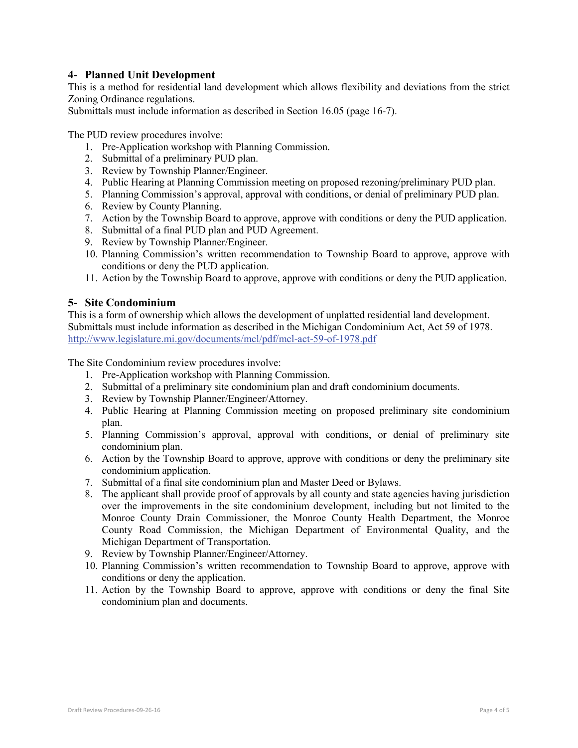## **4- Planned Unit Development**

This is a method for residential land development which allows flexibility and deviations from the strict Zoning Ordinance regulations.

Submittals must include information as described in Section 16.05 (page 16-7).

The PUD review procedures involve:

- 1. Pre-Application workshop with Planning Commission.
- 2. Submittal of a preliminary PUD plan.
- 3. Review by Township Planner/Engineer.
- 4. Public Hearing at Planning Commission meeting on proposed rezoning/preliminary PUD plan.
- 5. Planning Commission's approval, approval with conditions, or denial of preliminary PUD plan.
- 6. Review by County Planning.
- 7. Action by the Township Board to approve, approve with conditions or deny the PUD application.
- 8. Submittal of a final PUD plan and PUD Agreement.
- 9. Review by Township Planner/Engineer.
- 10. Planning Commission's written recommendation to Township Board to approve, approve with conditions or deny the PUD application.
- 11. Action by the Township Board to approve, approve with conditions or deny the PUD application.

### **5- Site Condominium**

This is a form of ownership which allows the development of unplatted residential land development. Submittals must include information as described in the Michigan Condominium Act, Act 59 of 1978. <http://www.legislature.mi.gov/documents/mcl/pdf/mcl-act-59-of-1978.pdf>

The Site Condominium review procedures involve:

- 1. Pre-Application workshop with Planning Commission.
- 2. Submittal of a preliminary site condominium plan and draft condominium documents.
- 3. Review by Township Planner/Engineer/Attorney.
- 4. Public Hearing at Planning Commission meeting on proposed preliminary site condominium plan.
- 5. Planning Commission's approval, approval with conditions, or denial of preliminary site condominium plan.
- 6. Action by the Township Board to approve, approve with conditions or deny the preliminary site condominium application.
- 7. Submittal of a final site condominium plan and Master Deed or Bylaws.
- 8. The applicant shall provide proof of approvals by all county and state agencies having jurisdiction over the improvements in the site condominium development, including but not limited to the Monroe County Drain Commissioner, the Monroe County Health Department, the Monroe County Road Commission, the Michigan Department of Environmental Quality, and the Michigan Department of Transportation.
- 9. Review by Township Planner/Engineer/Attorney.
- 10. Planning Commission's written recommendation to Township Board to approve, approve with conditions or deny the application.
- 11. Action by the Township Board to approve, approve with conditions or deny the final Site condominium plan and documents.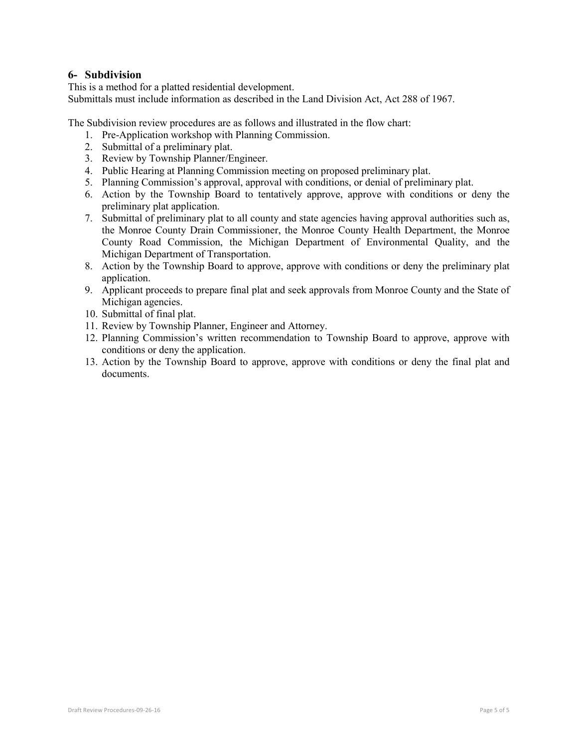## **6- Subdivision**

This is a method for a platted residential development. Submittals must include information as described in the Land Division Act, Act 288 of 1967.

The Subdivision review procedures are as follows and illustrated in the flow chart:

- 1. Pre-Application workshop with Planning Commission.
- 2. Submittal of a preliminary plat.
- 3. Review by Township Planner/Engineer.
- 4. Public Hearing at Planning Commission meeting on proposed preliminary plat.
- 5. Planning Commission's approval, approval with conditions, or denial of preliminary plat.
- 6. Action by the Township Board to tentatively approve, approve with conditions or deny the preliminary plat application.
- 7. Submittal of preliminary plat to all county and state agencies having approval authorities such as, the Monroe County Drain Commissioner, the Monroe County Health Department, the Monroe County Road Commission, the Michigan Department of Environmental Quality, and the Michigan Department of Transportation.
- 8. Action by the Township Board to approve, approve with conditions or deny the preliminary plat application.
- 9. Applicant proceeds to prepare final plat and seek approvals from Monroe County and the State of Michigan agencies.
- 10. Submittal of final plat.
- 11. Review by Township Planner, Engineer and Attorney.
- 12. Planning Commission's written recommendation to Township Board to approve, approve with conditions or deny the application.
- 13. Action by the Township Board to approve, approve with conditions or deny the final plat and documents.